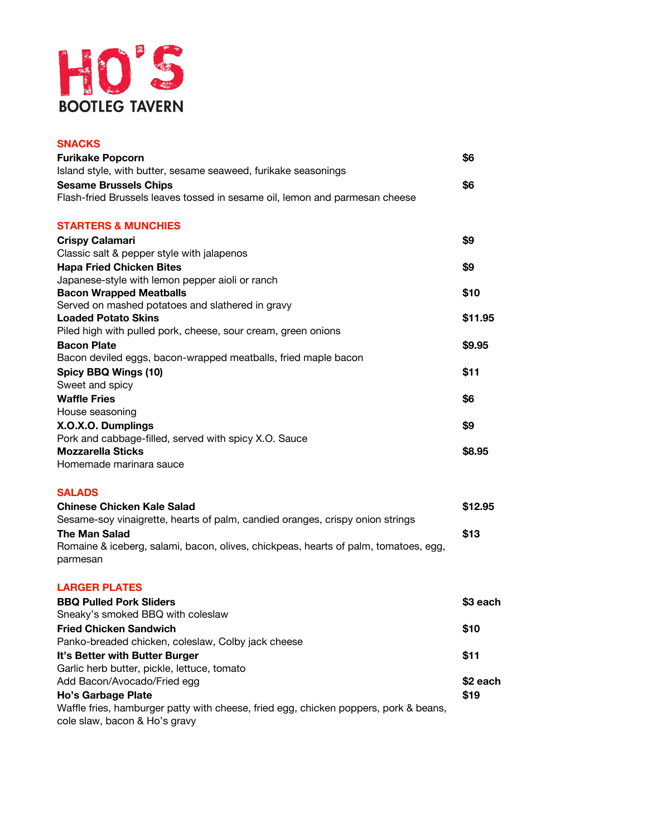

| <b>SNACKS</b>                                                                                                     |          |
|-------------------------------------------------------------------------------------------------------------------|----------|
| <b>Furikake Popcorn</b>                                                                                           | \$6      |
| Island style, with butter, sesame seaweed, furikake seasonings                                                    |          |
| <b>Sesame Brussels Chips</b>                                                                                      | \$6      |
| Flash-fried Brussels leaves tossed in sesame oil, lemon and parmesan cheese                                       |          |
| <b>STARTERS &amp; MUNCHIES</b>                                                                                    |          |
| <b>Crispy Calamari</b>                                                                                            | \$9      |
| Classic salt & pepper style with jalapenos                                                                        |          |
| <b>Hapa Fried Chicken Bites</b>                                                                                   | \$9      |
| Japanese-style with lemon pepper aioli or ranch<br><b>Bacon Wrapped Meatballs</b>                                 | \$10     |
| Served on mashed potatoes and slathered in gravy                                                                  |          |
| <b>Loaded Potato Skins</b>                                                                                        | \$11.95  |
| Piled high with pulled pork, cheese, sour cream, green onions                                                     |          |
| <b>Bacon Plate</b>                                                                                                | \$9.95   |
| Bacon deviled eggs, bacon-wrapped meatballs, fried maple bacon                                                    |          |
| Spicy BBQ Wings (10)                                                                                              | \$11     |
| Sweet and spicy                                                                                                   |          |
| <b>Waffle Fries</b>                                                                                               | \$6      |
| House seasoning                                                                                                   |          |
| X.O.X.O. Dumplings                                                                                                | \$9      |
| Pork and cabbage-filled, served with spicy X.O. Sauce<br><b>Mozzarella Sticks</b>                                 | \$8.95   |
| Homemade marinara sauce                                                                                           |          |
|                                                                                                                   |          |
| <b>SALADS</b>                                                                                                     |          |
| <b>Chinese Chicken Kale Salad</b>                                                                                 | \$12.95  |
| Sesame-soy vinaigrette, hearts of palm, candied oranges, crispy onion strings                                     |          |
| <b>The Man Salad</b>                                                                                              | \$13     |
| Romaine & iceberg, salami, bacon, olives, chickpeas, hearts of palm, tomatoes, egg,<br>parmesan                   |          |
|                                                                                                                   |          |
| <b>LARGER PLATES</b>                                                                                              |          |
| <b>BBQ Pulled Pork Sliders</b>                                                                                    | \$3 each |
| Sneaky's smoked BBQ with coleslaw                                                                                 |          |
| <b>Fried Chicken Sandwich</b>                                                                                     | \$10     |
| Panko-breaded chicken, coleslaw, Colby jack cheese                                                                |          |
| It's Better with Butter Burger                                                                                    | \$11     |
| Garlic herb butter, pickle, lettuce, tomato                                                                       |          |
| Add Bacon/Avocado/Fried egg                                                                                       | \$2 each |
| <b>Ho's Garbage Plate</b><br>Waffle fries, hamburger patty with cheese, fried egg, chicken poppers, pork & beans, | \$19     |
| cole slaw, bacon & Ho's gravy                                                                                     |          |
|                                                                                                                   |          |